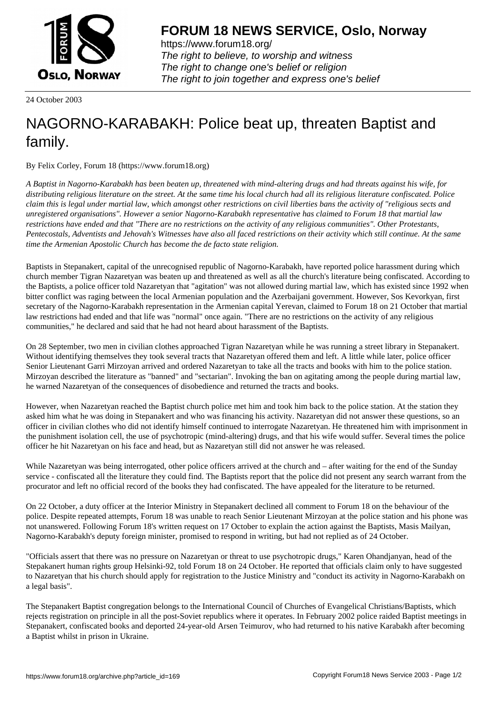

https://www.forum18.org/ The right to believe, to worship and witness The right to change one's belief or religion [The right to join together a](https://www.forum18.org/)nd express one's belief

24 October 2003

## [NAGORNO-KA](https://www.forum18.org)RABAKH: Police beat up, threaten Baptist and family.

By Felix Corley, Forum 18 (https://www.forum18.org)

*A Baptist in Nagorno-Karabakh has been beaten up, threatened with mind-altering drugs and had threats against his wife, for distributing religious literature on the street. At the same time his local church had all its religious literature confiscated. Police claim this is legal under martial law, which amongst other restrictions on civil liberties bans the activity of "religious sects and unregistered organisations". However a senior Nagorno-Karabakh representative has claimed to Forum 18 that martial law restrictions have ended and that "There are no restrictions on the activity of any religious communities". Other Protestants, Pentecostals, Adventists and Jehovah's Witnesses have also all faced restrictions on their activity which still continue. At the same time the Armenian Apostolic Church has become the de facto state religion.*

Baptists in Stepanakert, capital of the unrecognised republic of Nagorno-Karabakh, have reported police harassment during which church member Tigran Nazaretyan was beaten up and threatened as well as all the church's literature being confiscated. According to the Baptists, a police officer told Nazaretyan that "agitation" was not allowed during martial law, which has existed since 1992 when bitter conflict was raging between the local Armenian population and the Azerbaijani government. However, Sos Kevorkyan, first secretary of the Nagorno-Karabakh representation in the Armenian capital Yerevan, claimed to Forum 18 on 21 October that martial law restrictions had ended and that life was "normal" once again. "There are no restrictions on the activity of any religious communities," he declared and said that he had not heard about harassment of the Baptists.

On 28 September, two men in civilian clothes approached Tigran Nazaretyan while he was running a street library in Stepanakert. Without identifying themselves they took several tracts that Nazaretyan offered them and left. A little while later, police officer Senior Lieutenant Garri Mirzoyan arrived and ordered Nazaretyan to take all the tracts and books with him to the police station. Mirzoyan described the literature as "banned" and "sectarian". Invoking the ban on agitating among the people during martial law, he warned Nazaretyan of the consequences of disobedience and returned the tracts and books.

However, when Nazaretyan reached the Baptist church police met him and took him back to the police station. At the station they asked him what he was doing in Stepanakert and who was financing his activity. Nazaretyan did not answer these questions, so an officer in civilian clothes who did not identify himself continued to interrogate Nazaretyan. He threatened him with imprisonment in the punishment isolation cell, the use of psychotropic (mind-altering) drugs, and that his wife would suffer. Several times the police officer he hit Nazaretyan on his face and head, but as Nazaretyan still did not answer he was released.

While Nazaretyan was being interrogated, other police officers arrived at the church and – after waiting for the end of the Sunday service - confiscated all the literature they could find. The Baptists report that the police did not present any search warrant from the procurator and left no official record of the books they had confiscated. The have appealed for the literature to be returned.

On 22 October, a duty officer at the Interior Ministry in Stepanakert declined all comment to Forum 18 on the behaviour of the police. Despite repeated attempts, Forum 18 was unable to reach Senior Lieutenant Mirzoyan at the police station and his phone was not unanswered. Following Forum 18's written request on 17 October to explain the action against the Baptists, Masis Mailyan, Nagorno-Karabakh's deputy foreign minister, promised to respond in writing, but had not replied as of 24 October.

"Officials assert that there was no pressure on Nazaretyan or threat to use psychotropic drugs," Karen Ohandjanyan, head of the Stepakanert human rights group Helsinki-92, told Forum 18 on 24 October. He reported that officials claim only to have suggested to Nazaretyan that his church should apply for registration to the Justice Ministry and "conduct its activity in Nagorno-Karabakh on a legal basis".

The Stepanakert Baptist congregation belongs to the International Council of Churches of Evangelical Christians/Baptists, which rejects registration on principle in all the post-Soviet republics where it operates. In February 2002 police raided Baptist meetings in Stepanakert, confiscated books and deported 24-year-old Arsen Teimurov, who had returned to his native Karabakh after becoming a Baptist whilst in prison in Ukraine.